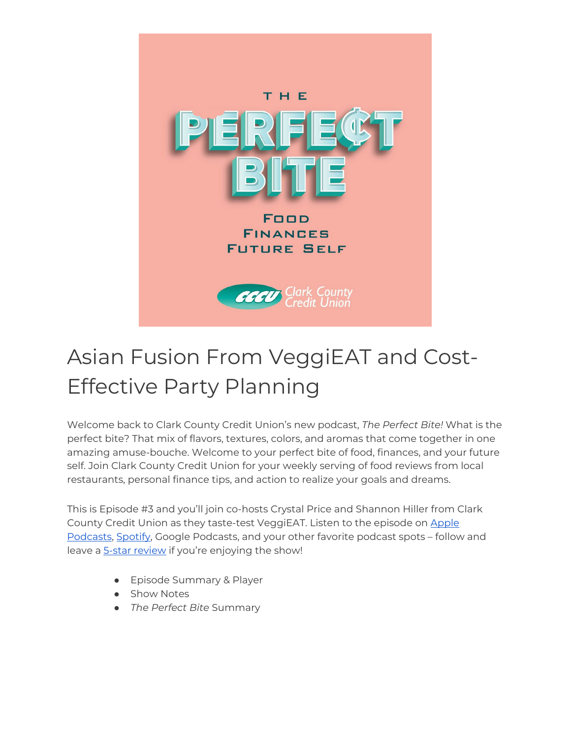

# Asian Fusion From VeggiEAT and Cost-Effective Party Planning

Welcome back to Clark County Credit Union's new podcast, *The Perfect Bite!* What is the perfect bite? That mix of flavors, textures, colors, and aromas that come together in one amazing amuse-bouche. Welcome to your perfect bite of food, finances, and your future self. Join Clark County Credit Union for your weekly serving of food reviews from local restaurants, personal finance tips, and action to realize your goals and dreams.

This is Episode #3 and you'll join co-hosts Crystal Price and Shannon Hiller from Clark County Credit Union as they taste-test VeggiEAT. Listen to the episode o[n Apple](https://podcasts.apple.com/us/podcast/the-perfect-bite/id1604656448)  [Podcasts,](https://podcasts.apple.com/us/podcast/the-perfect-bite/id1604656448) [Spotify,](https://open.spotify.com/show/7tNPJZBNHabGWEFmjnHaxR?si=a0a7808911264628) Google Podcasts, and your other favorite podcast spots – follow and leave a [5-star review](https://podcasts.apple.com/us/podcast/the-perfect-bite/id1604656448) if you're enjoying the show!

- Episode Summary & Player
- Show Notes
- *The Perfect Bite* Summary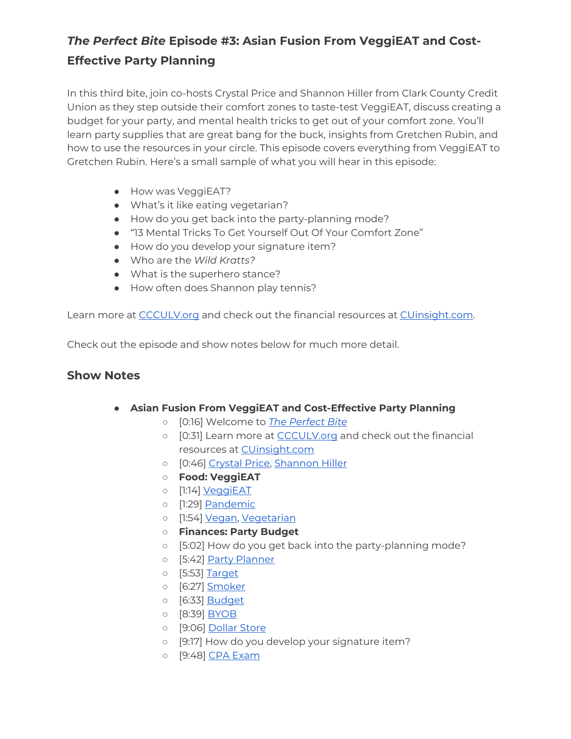## *The Perfect Bite* **Episode #3: Asian Fusion From VeggiEAT and Cost-Effective Party Planning**

In this third bite, join co-hosts Crystal Price and Shannon Hiller from Clark County Credit Union as they step outside their comfort zones to taste-test VeggiEAT, discuss creating a budget for your party, and mental health tricks to get out of your comfort zone. You'll learn party supplies that are great bang for the buck, insights from Gretchen Rubin, and how to use the resources in your circle. This episode covers everything from VeggiEAT to Gretchen Rubin. Here's a small sample of what you will hear in this episode:

- How was VeggiEAT?
- What's it like eating vegetarian?
- How do you get back into the party-planning mode?
- "13 Mental Tricks To Get Yourself Out Of Your Comfort Zone"
- How do you develop your signature item?
- Who are the *Wild Kratts?*
- What is the superhero stance?
- How often does Shannon play tennis?

Learn more at [CCCULV.org](https://www.ccculv.org/) and check out the financial resources at [CUinsight.com.](https://www.cuinsight.com/)

Check out the episode and show notes below for much more detail.

#### **Show Notes**

- **Asian Fusion From VeggiEAT and Cost-Effective Party Planning**
	- [0:16] Welcome to *[The Perfect Bite](https://www.ccculv.org/)*
	- o [0:31] Learn more at [CCCULV.org](https://www.ccculv.org/) and check out the financial resources at [CUinsight.com](https://www.cuinsight.com/)
	- [0:46] [Crystal Price, Shannon Hiller](https://www.ccculv.org/Our-Mission.aspx)
	- **Food: VeggiEAT**
	- [1:14] [VeggiEAT](https://www.veggieatxpress.com/)
	- o [1:29] [Pandemic](https://www.cdc.gov/coronavirus/2019-ncov/index.html)
	- o [1:54] [Vegan,](https://vegan.com/) [Vegetarian](https://vegsoc.org/info-hub/definition/)
	- **Finances: Party Budget**
	- [5:02] How do you get back into the party-planning mode?
	- o [5:42] [Party Planner](https://www.cnet.com/tech/services-and-software/best-party-planning-apps/)
	- [5:53] [Target](https://www.target.com/)
	- [6:27] [Smoker](https://theonlinegrill.com/best-smoker-recipes/)
	- [6:33] [Budget](https://www.ccculv.org/)
	- [8:39] <u>BYOB</u>
	- o [9:06] [Dollar Store](https://www.dollartree.com/)
	- [9:17] How do you develop your signature item?
	- [9:48] [CPA Exam](https://www.aicpa.org/resources/toolkit/cpa-exam)